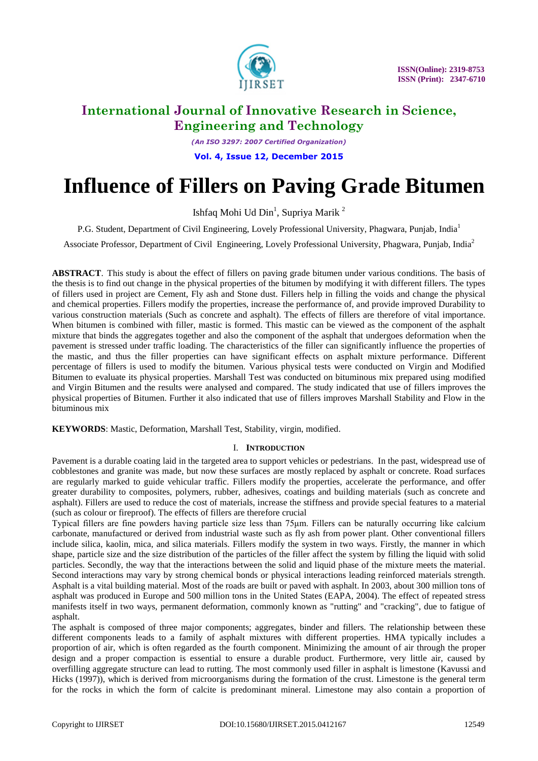

*(An ISO 3297: 2007 Certified Organization)* **Vol. 4, Issue 12, December 2015**

# **Influence of Fillers on Paving Grade Bitumen**

Ishfaq Mohi Ud  $\text{Din}^1$ , Supriya Marik<sup>2</sup>

P.G. Student, Department of Civil Engineering, Lovely Professional University, Phagwara, Punjab, India<sup>1</sup>

Associate Professor, Department of Civil Engineering, Lovely Professional University, Phagwara, Punjab, India<sup>2</sup>

**ABSTRACT**. This study is about the effect of fillers on paving grade bitumen under various conditions. The basis of the thesis is to find out change in the physical properties of the bitumen by modifying it with different fillers. The types of fillers used in project are Cement, Fly ash and Stone dust. Fillers help in filling the voids and change the physical and chemical properties. Fillers modify the properties, increase the performance of, and provide improved Durability to various construction materials (Such as concrete and asphalt). The effects of fillers are therefore of vital importance. When bitumen is combined with filler, mastic is formed. This mastic can be viewed as the component of the asphalt mixture that binds the aggregates together and also the component of the asphalt that undergoes deformation when the pavement is stressed under traffic loading. The characteristics of the filler can significantly influence the properties of the mastic, and thus the filler properties can have significant effects on asphalt mixture performance. Different percentage of fillers is used to modify the bitumen. Various physical tests were conducted on Virgin and Modified Bitumen to evaluate its physical properties. Marshall Test was conducted on bituminous mix prepared using modified and Virgin Bitumen and the results were analysed and compared. The study indicated that use of fillers improves the physical properties of Bitumen. Further it also indicated that use of fillers improves Marshall Stability and Flow in the bituminous mix

**KEYWORDS**: Mastic, Deformation, Marshall Test, Stability, virgin, modified.

### I. **INTRODUCTION**

Pavement is a durable coating laid in the targeted area to support vehicles or pedestrians. In the past, widespread use of cobblestones and granite was made, but now these surfaces are mostly replaced by asphalt or concrete. Road surfaces are regularly marked to guide vehicular traffic. Fillers modify the properties, accelerate the performance, and offer greater durability to composites, polymers, rubber, adhesives, coatings and building materials (such as concrete and asphalt). Fillers are used to reduce the cost of materials, increase the stiffness and provide special features to a material (such as colour or fireproof). The effects of fillers are therefore crucial

Typical fillers are fine powders having particle size less than 75μm. Fillers can be naturally occurring like calcium carbonate, manufactured or derived from industrial waste such as fly ash from power plant. Other conventional fillers include silica, kaolin, mica, and silica materials. Fillers modify the system in two ways. Firstly, the manner in which shape, particle size and the size distribution of the particles of the filler affect the system by filling the liquid with solid particles. Secondly, the way that the interactions between the solid and liquid phase of the mixture meets the material. Second interactions may vary by strong chemical bonds or physical interactions leading reinforced materials strength. Asphalt is a vital building material. Most of the roads are built or paved with asphalt. In 2003, about 300 million tons of asphalt was produced in Europe and 500 million tons in the United States (EAPA, 2004). The effect of repeated stress manifests itself in two ways, permanent deformation, commonly known as "rutting" and "cracking", due to fatigue of asphalt.

The asphalt is composed of three major components; aggregates, binder and fillers. The relationship between these different components leads to a family of asphalt mixtures with different properties. HMA typically includes a proportion of air, which is often regarded as the fourth component. Minimizing the amount of air through the proper design and a proper compaction is essential to ensure a durable product. Furthermore, very little air, caused by overfilling aggregate structure can lead to rutting. The most commonly used filler in asphalt is limestone (Kavussi and Hicks (1997)), which is derived from microorganisms during the formation of the crust. Limestone is the general term for the rocks in which the form of calcite is predominant mineral. Limestone may also contain a proportion of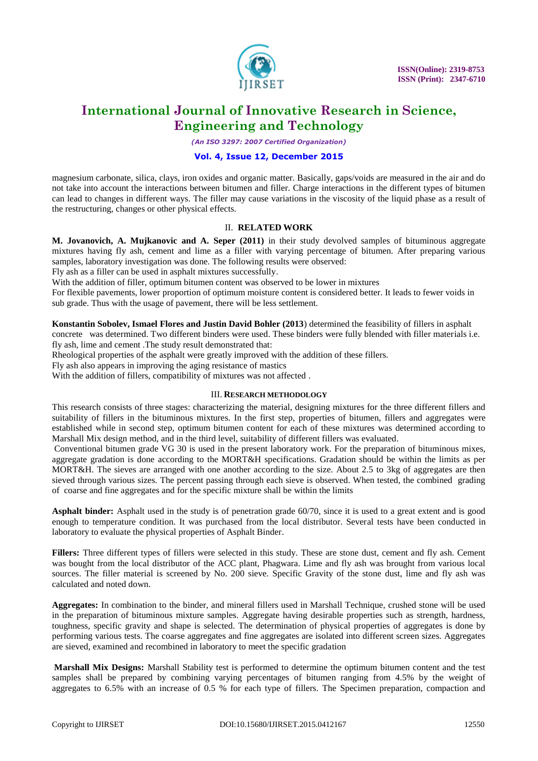

*(An ISO 3297: 2007 Certified Organization)*

### **Vol. 4, Issue 12, December 2015**

magnesium carbonate, silica, clays, iron oxides and organic matter. Basically, gaps/voids are measured in the air and do not take into account the interactions between bitumen and filler. Charge interactions in the different types of bitumen can lead to changes in different ways. The filler may cause variations in the viscosity of the liquid phase as a result of the restructuring, changes or other physical effects.

### II. **RELATED WORK**

**M. Jovanovich, A. Mujkanovic and A. Seper (2011)** in their study devolved samples of bituminous aggregate mixtures having fly ash, cement and lime as a filler with varying percentage of bitumen. After preparing various samples, laboratory investigation was done. The following results were observed:

Fly ash as a filler can be used in asphalt mixtures successfully.

With the addition of filler, optimum bitumen content was observed to be lower in mixtures

For flexible pavements, lower proportion of optimum moisture content is considered better. It leads to fewer voids in sub grade. Thus with the usage of pavement, there will be less settlement.

**Konstantin Sobolev, Ismael Flores and Justin David Bohler (2013**) determined the feasibility of fillers in asphalt

concrete was determined. Two different binders were used. These binders were fully blended with filler materials i.e. fly ash, lime and cement .The study result demonstrated that:

Rheological properties of the asphalt were greatly improved with the addition of these fillers.

Fly ash also appears in improving the aging resistance of mastics

With the addition of fillers, compatibility of mixtures was not affected .

### III. **RESEARCH METHODOLOGY**

This research consists of three stages: characterizing the material, designing mixtures for the three different fillers and suitability of fillers in the bituminous mixtures. In the first step, properties of bitumen, fillers and aggregates were established while in second step, optimum bitumen content for each of these mixtures was determined according to Marshall Mix design method, and in the third level, suitability of different fillers was evaluated.

Conventional bitumen grade VG 30 is used in the present laboratory work. For the preparation of bituminous mixes, aggregate gradation is done according to the MORT&H specifications. Gradation should be within the limits as per MORT&H. The sieves are arranged with one another according to the size. About 2.5 to 3kg of aggregates are then sieved through various sizes. The percent passing through each sieve is observed. When tested, the combined grading of coarse and fine aggregates and for the specific mixture shall be within the limits

**Asphalt binder:** Asphalt used in the study is of penetration grade 60/70, since it is used to a great extent and is good enough to temperature condition. It was purchased from the local distributor. Several tests have been conducted in laboratory to evaluate the physical properties of Asphalt Binder.

**Fillers:** Three different types of fillers were selected in this study. These are stone dust, cement and fly ash. Cement was bought from the local distributor of the ACC plant, Phagwara. Lime and fly ash was brought from various local sources. The filler material is screened by No. 200 sieve. Specific Gravity of the stone dust, lime and fly ash was calculated and noted down.

**Aggregates:** In combination to the binder, and mineral fillers used in Marshall Technique, crushed stone will be used in the preparation of bituminous mixture samples. Aggregate having desirable properties such as strength, hardness, toughness, specific gravity and shape is selected. The determination of physical properties of aggregates is done by performing various tests. The coarse aggregates and fine aggregates are isolated into different screen sizes. Aggregates are sieved, examined and recombined in laboratory to meet the specific gradation

**Marshall Mix Designs:** Marshall Stability test is performed to determine the optimum bitumen content and the test samples shall be prepared by combining varying percentages of bitumen ranging from 4.5% by the weight of aggregates to 6.5% with an increase of 0.5 % for each type of fillers. The Specimen preparation, compaction and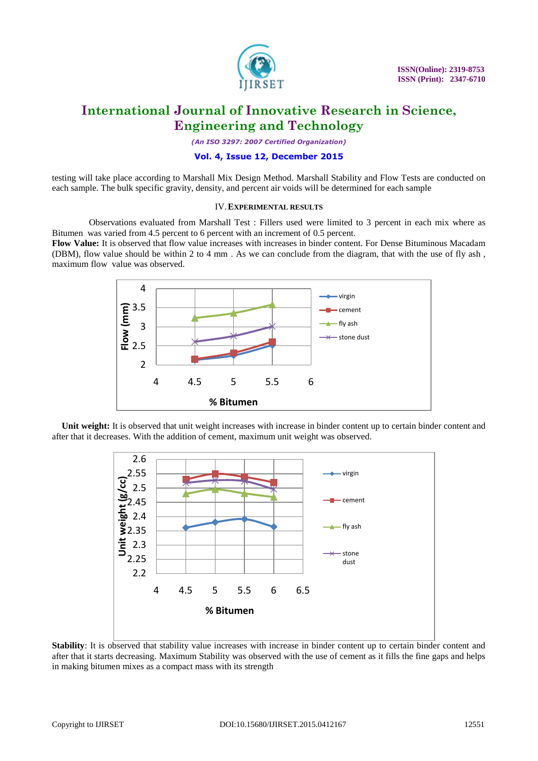

*(An ISO 3297: 2007 Certified Organization)*

### **Vol. 4, Issue 12, December 2015**

testing will take place according to Marshall Mix Design Method. Marshall Stability and Flow Tests are conducted on each sample. The bulk specific gravity, density, and percent air voids will be determined for each sample

#### IV.**EXPERIMENTAL RESULTS**

 Observations evaluated from Marshall Test : Fillers used were limited to 3 percent in each mix where as Bitumen was varied from 4.5 percent to 6 percent with an increment of 0.5 percent.

**Flow Value:** It is observed that flow value increases with increases in binder content. For Dense Bituminous Macadam (DBM), flow value should be within 2 to 4 mm . As we can conclude from the diagram, that with the use of fly ash , maximum flow value was observed.



**Unit weight:** It is observed that unit weight increases with increase in binder content up to certain binder content and after that it decreases. With the addition of cement, maximum unit weight was observed.



**Stability**: It is observed that stability value increases with increase in binder content up to certain binder content and after that it starts decreasing. Maximum Stability was observed with the use of cement as it fills the fine gaps and helps in making bitumen mixes as a compact mass with its strength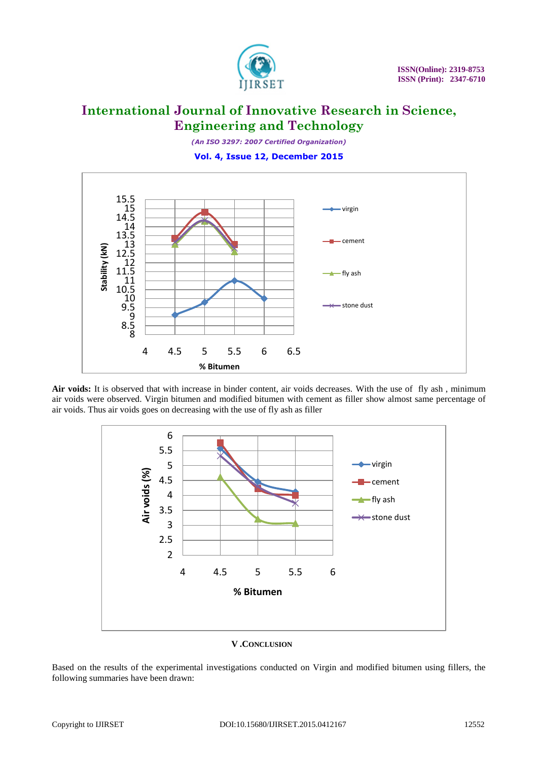

*(An ISO 3297: 2007 Certified Organization)* **Vol. 4, Issue 12, December 2015**



Air voids: It is observed that with increase in binder content, air voids decreases. With the use of fly ash, minimum air voids were observed. Virgin bitumen and modified bitumen with cement as filler show almost same percentage of air voids. Thus air voids goes on decreasing with the use of fly ash as filler



#### **V .CONCLUSION**

Based on the results of the experimental investigations conducted on Virgin and modified bitumen using fillers, the following summaries have been drawn: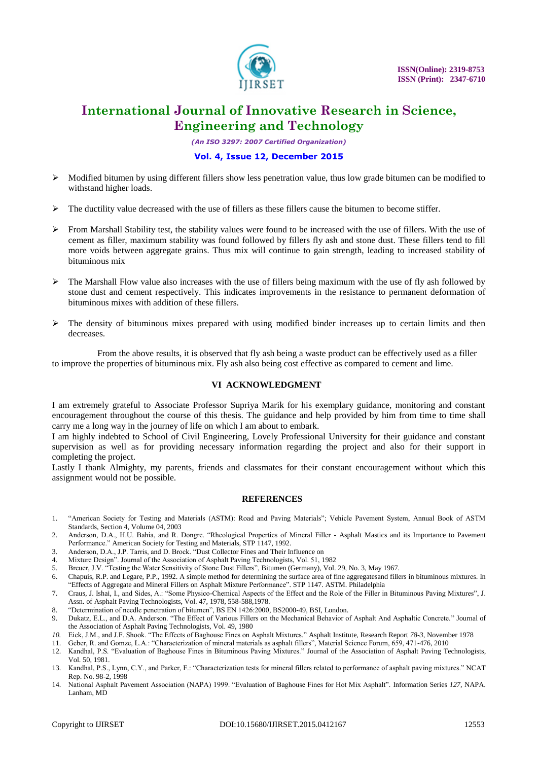

*(An ISO 3297: 2007 Certified Organization)*

### **Vol. 4, Issue 12, December 2015**

- $\triangleright$  Modified bitumen by using different fillers show less penetration value, thus low grade bitumen can be modified to withstand higher loads.
- $\triangleright$  The ductility value decreased with the use of fillers as these fillers cause the bitumen to become stiffer.
- $\triangleright$  From Marshall Stability test, the stability values were found to be increased with the use of fillers. With the use of cement as filler, maximum stability was found followed by fillers fly ash and stone dust. These fillers tend to fill more voids between aggregate grains. Thus mix will continue to gain strength, leading to increased stability of bituminous mix
- $\triangleright$  The Marshall Flow value also increases with the use of fillers being maximum with the use of fly ash followed by stone dust and cement respectively. This indicates improvements in the resistance to permanent deformation of bituminous mixes with addition of these fillers.
- $\triangleright$  The density of bituminous mixes prepared with using modified binder increases up to certain limits and then decreases.

 From the above results, it is observed that fly ash being a waste product can be effectively used as a filler to improve the properties of bituminous mix. Fly ash also being cost effective as compared to cement and lime.

#### **VI ACKNOWLEDGMENT**

I am extremely grateful to Associate Professor Supriya Marik for his exemplary guidance, monitoring and constant encouragement throughout the course of this thesis. The guidance and help provided by him from time to time shall carry me a long way in the journey of life on which I am about to embark.

I am highly indebted to School of Civil Engineering, Lovely Professional University for their guidance and constant supervision as well as for providing necessary information regarding the project and also for their support in completing the project.

Lastly I thank Almighty, my parents, friends and classmates for their constant encouragement without which this assignment would not be possible.

#### **REFERENCES**

- 1. "American Society for Testing and Materials (ASTM): Road and Paving Materials"; Vehicle Pavement System, Annual Book of ASTM Standards, Section 4, Volume 04, 2003
- 2. Anderson, D.A., H.U. Bahia, and R. Dongre. "Rheological Properties of Mineral Filler Asphalt Mastics and its Importance to Pavement Performance." American Society for Testing and Materials, STP 1147, 1992.
- 3. Anderson, D.A., J.P. Tarris, and D. Brock. "Dust Collector Fines and Their Influence on
- 4. Mixture Design". Journal of the Association of Asphalt Paving Technologists, Vol. 51, 1982<br>5. Breuer. J.V. "Testing the Water Sensitivity of Stone Dust Fillers". Bitumen (Germany). Vol.
- 5. Breuer, J.V. "Testing the Water Sensitivity of Stone Dust Fillers", Bitumen (Germany), Vol. 29, No. 3, May 1967.
- 6. Chapuis, R.P. and Legare, P.P., 1992. A simple method for determining the surface area of fine aggregatesand fillers in bituminous mixtures. In "Effects of Aggregate and Mineral Fillers on Asphalt Mixture Performance". STP 1147. ASTM. Philadelphia
- 7. Craus, J. Ishai, I., and Sides, A.: "Some Physico-Chemical Aspects of the Effect and the Role of the Filler in Bituminous Paving Mixtures", J. Assn. of Asphalt Paving Technologists, Vol. 47, 1978, 558-588,1978.
- 
- 8. "Determination of needle penetration of bitumen", BS EN 1426:2000, BS2000-49, BSI, London. 9. Dukatz, E.L., and D.A. Anderson. "The Effect of Various Fillers on the Mechanical Behavior of Asphalt And Asphaltic Concrete." Journal of the Association of Asphalt Paving Technologists, Vol. 49, 1980
- *10.* Eick, J.M., and J.F. Shook. "The Effects of Baghouse Fines on Asphalt Mixtures." Asphalt Institute, Research Report *78-3*, November 1978
- 11. Geber, R. and Gomze, L.A.: "Characterization of mineral materials as asphalt fillers", Material Science Forum, 659, 471-476, 2010
- 12. Kandhal, P.S. "Evaluation of Baghouse Fines in Bituminous Paving Mixtures." Journal of the Association of Asphalt Paving Technologists, Vol. 50, 1981.
- 13. Kandhal, P.S., Lynn, C.Y., and Parker, F.: "Characterization tests for mineral fillers related to performance of asphalt paving mixtures." NCAT Rep. No. 98-2, 1998
- 14. National Asphalt Pavement Association (NAPA) 1999. "Evaluation of Baghouse Fines for Hot Mix Asphalt". Information Series *127*, NAPA. Lanham, MD